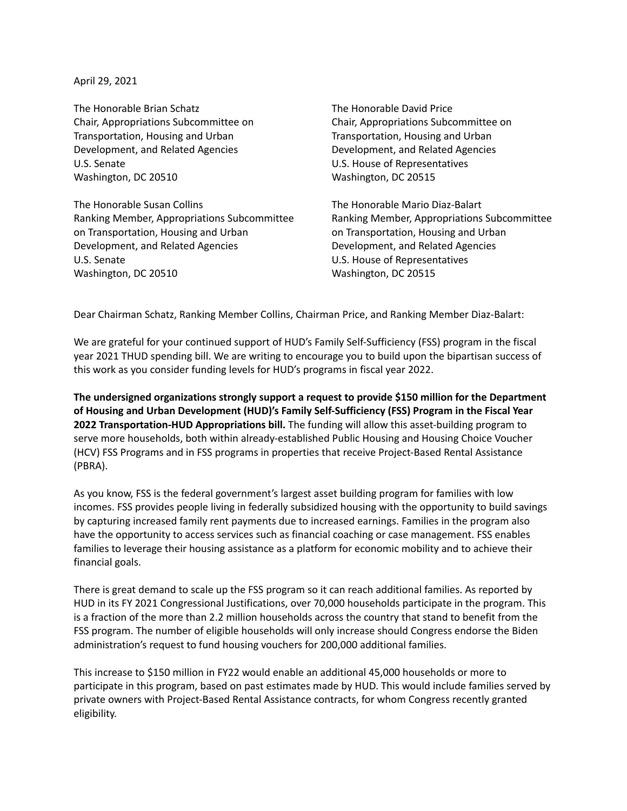April 29, 2021

The Honorable Brian Schatz Chair, Appropriations Subcommittee on Transportation, Housing and Urban Development, and Related Agencies U.S. Senate Washington, DC 20510

The Honorable Susan Collins Ranking Member, Appropriations Subcommittee on Transportation, Housing and Urban Development, and Related Agencies U.S. Senate Washington, DC 20510

The Honorable David Price Chair, Appropriations Subcommittee on Transportation, Housing and Urban Development, and Related Agencies U.S. House of Representatives Washington, DC 20515

The Honorable Mario Diaz-Balart Ranking Member, Appropriations Subcommittee on Transportation, Housing and Urban Development, and Related Agencies U.S. House of Representatives Washington, DC 20515

Dear Chairman Schatz, Ranking Member Collins, Chairman Price, and Ranking Member Diaz-Balart:

We are grateful for your continued support of HUD's Family Self-Sufficiency (FSS) program in the fiscal year 2021 THUD spending bill. We are writing to encourage you to build upon the bipartisan success of this work as you consider funding levels for HUD's programs in fiscal year 2022.

**The undersigned organizations strongly support a request to provide \$150 million for the Department of Housing and Urban Development (HUD)'s Family Self-Sufficiency (FSS) Program in the Fiscal Year 2022 Transportation-HUD Appropriations bill.** The funding will allow this asset-building program to serve more households, both within already-established Public Housing and Housing Choice Voucher (HCV) FSS Programs and in FSS programs in properties that receive Project-Based Rental Assistance (PBRA).

As you know, FSS is the federal government's largest asset building program for families with low incomes. FSS provides people living in federally subsidized housing with the opportunity to build savings by capturing increased family rent payments due to increased earnings. Families in the program also have the opportunity to access services such as financial coaching or case management. FSS enables families to leverage their housing assistance as a platform for economic mobility and to achieve their financial goals.

There is great demand to scale up the FSS program so it can reach additional families. As reported by HUD in its FY 2021 Congressional Justifications, over 70,000 households participate in the program. This is a fraction of the more than 2.2 million households across the country that stand to benefit from the FSS program. The number of eligible households will only increase should Congress endorse the Biden administration's request to fund housing vouchers for 200,000 additional families.

This increase to \$150 million in FY22 would enable an additional 45,000 households or more to participate in this program, based on past estimates made by HUD. This would include families served by private owners with Project-Based Rental Assistance contracts, for whom Congress recently granted eligibility.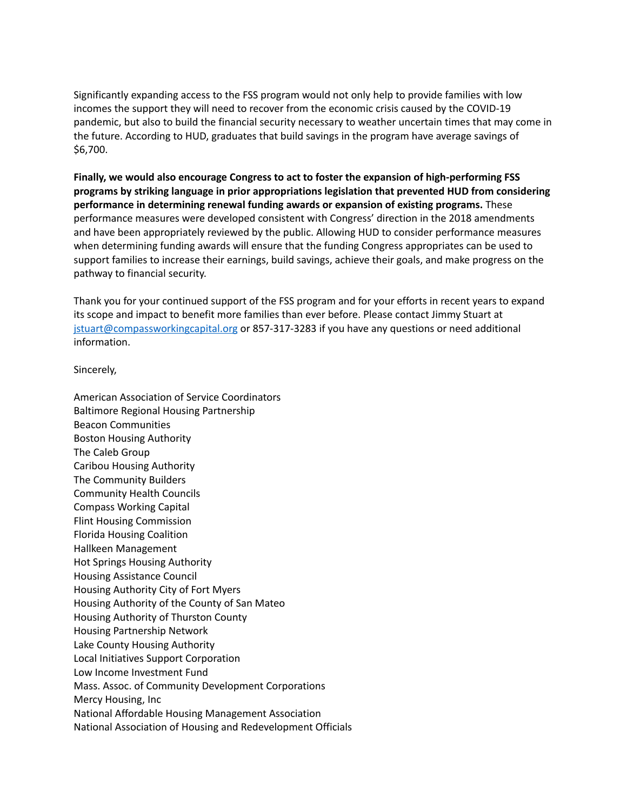Significantly expanding access to the FSS program would not only help to provide families with low incomes the support they will need to recover from the economic crisis caused by the COVID-19 pandemic, but also to build the financial security necessary to weather uncertain times that may come in the future. According to HUD, graduates that build savings in the program have average savings of \$6,700.

**Finally, we would also encourage Congress to act to foster the expansion of high-performing FSS programs by striking language in prior appropriations legislation that prevented HUD from considering performance in determining renewal funding awards or expansion of existing programs.** These performance measures were developed consistent with Congress' direction in the 2018 amendments and have been appropriately reviewed by the public. Allowing HUD to consider performance measures when determining funding awards will ensure that the funding Congress appropriates can be used to support families to increase their earnings, build savings, achieve their goals, and make progress on the pathway to financial security.

Thank you for your continued support of the FSS program and for your efforts in recent years to expand its scope and impact to benefit more families than ever before. Please contact Jimmy Stuart at [jstuart@compassworkingcapital.org](mailto:jstuart@compassworkingcapital.org) or 857-317-3283 if you have any questions or need additional information.

Sincerely,

American Association of Service Coordinators Baltimore Regional Housing Partnership Beacon Communities Boston Housing Authority The Caleb Group Caribou Housing Authority The Community Builders Community Health Councils Compass Working Capital Flint Housing Commission Florida Housing Coalition Hallkeen Management Hot Springs Housing Authority Housing Assistance Council Housing Authority City of Fort Myers Housing Authority of the County of San Mateo Housing Authority of Thurston County Housing Partnership Network Lake County Housing Authority Local Initiatives Support Corporation Low Income Investment Fund Mass. Assoc. of Community Development Corporations Mercy Housing, Inc National Affordable Housing Management Association National Association of Housing and Redevelopment Officials